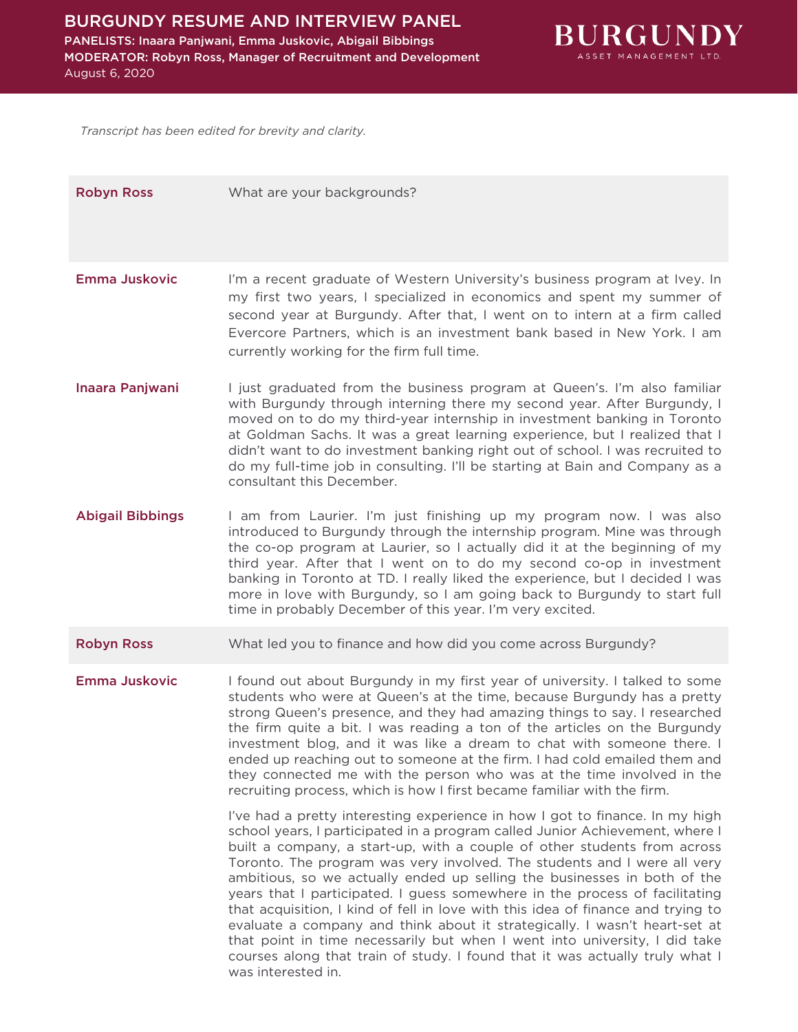

*Transcript has been edited for brevity and clarity.*

| <b>Robyn Ross</b>       | What are your backgrounds?                                                                                                                                                                                                                                                                                                                                                                                                                                                                                                                                                                                                                                                                                                                                                                                                            |
|-------------------------|---------------------------------------------------------------------------------------------------------------------------------------------------------------------------------------------------------------------------------------------------------------------------------------------------------------------------------------------------------------------------------------------------------------------------------------------------------------------------------------------------------------------------------------------------------------------------------------------------------------------------------------------------------------------------------------------------------------------------------------------------------------------------------------------------------------------------------------|
| <b>Emma Juskovic</b>    | I'm a recent graduate of Western University's business program at Ivey. In<br>my first two years, I specialized in economics and spent my summer of<br>second year at Burgundy. After that, I went on to intern at a firm called<br>Evercore Partners, which is an investment bank based in New York. I am<br>currently working for the firm full time.                                                                                                                                                                                                                                                                                                                                                                                                                                                                               |
| Inaara Panjwani         | I just graduated from the business program at Queen's. I'm also familiar<br>with Burgundy through interning there my second year. After Burgundy, I<br>moved on to do my third-year internship in investment banking in Toronto<br>at Goldman Sachs. It was a great learning experience, but I realized that I<br>didn't want to do investment banking right out of school. I was recruited to<br>do my full-time job in consulting. I'll be starting at Bain and Company as a<br>consultant this December.                                                                                                                                                                                                                                                                                                                           |
| <b>Abigail Bibbings</b> | I am from Laurier. I'm just finishing up my program now. I was also<br>introduced to Burgundy through the internship program. Mine was through<br>the co-op program at Laurier, so I actually did it at the beginning of my<br>third year. After that I went on to do my second co-op in investment<br>banking in Toronto at TD. I really liked the experience, but I decided I was<br>more in love with Burgundy, so I am going back to Burgundy to start full<br>time in probably December of this year. I'm very excited.                                                                                                                                                                                                                                                                                                          |
| <b>Robyn Ross</b>       | What led you to finance and how did you come across Burgundy?                                                                                                                                                                                                                                                                                                                                                                                                                                                                                                                                                                                                                                                                                                                                                                         |
| Emma Juskovic           | I found out about Burgundy in my first year of university. I talked to some<br>students who were at Queen's at the time, because Burgundy has a pretty<br>strong Queen's presence, and they had amazing things to say. I researched<br>the firm quite a bit. I was reading a ton of the articles on the Burgundy<br>investment blog, and it was like a dream to chat with someone there. I<br>ended up reaching out to someone at the firm. I had cold emailed them and<br>they connected me with the person who was at the time involved in the<br>recruiting process, which is how I first became familiar with the firm.                                                                                                                                                                                                           |
|                         | I've had a pretty interesting experience in how I got to finance. In my high<br>school years, I participated in a program called Junior Achievement, where I<br>built a company, a start-up, with a couple of other students from across<br>Toronto. The program was very involved. The students and I were all very<br>ambitious, so we actually ended up selling the businesses in both of the<br>years that I participated. I guess somewhere in the process of facilitating<br>that acquisition, I kind of fell in love with this idea of finance and trying to<br>evaluate a company and think about it strategically. I wasn't heart-set at<br>that point in time necessarily but when I went into university, I did take<br>courses along that train of study. I found that it was actually truly what I<br>was interested in. |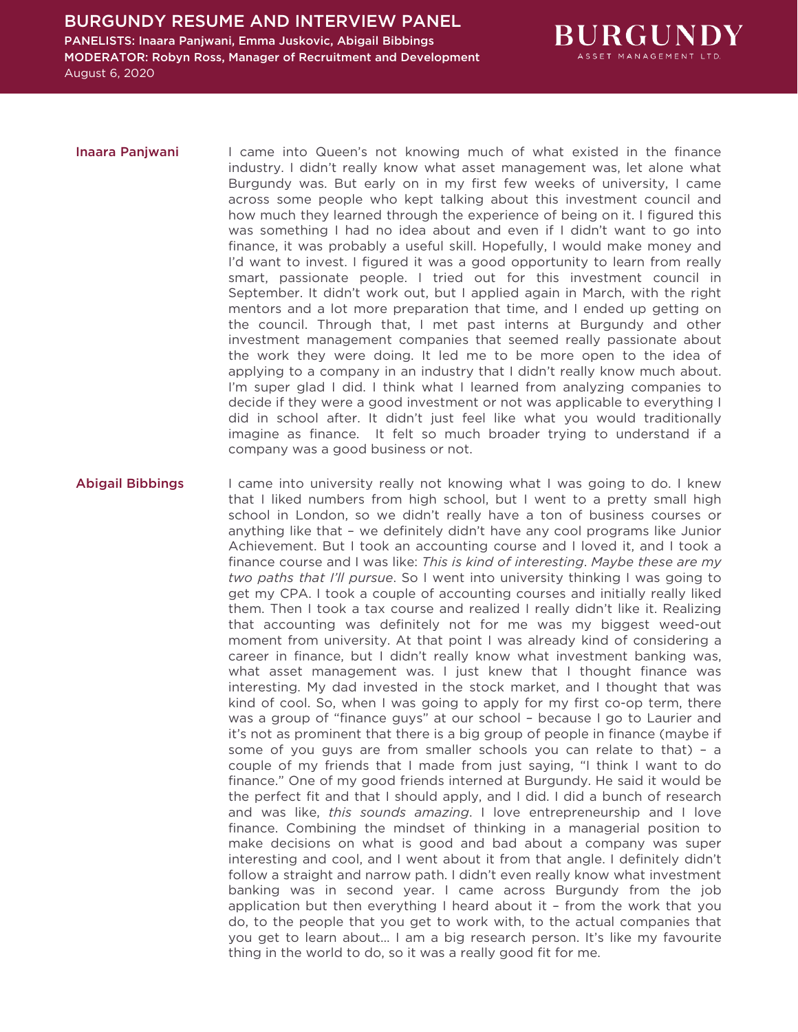

- Inaara Panjwani I came into Queen's not knowing much of what existed in the finance industry. I didn't really know what asset management was, let alone what Burgundy was. But early on in my first few weeks of university, I came across some people who kept talking about this investment council and how much they learned through the experience of being on it. I figured this was something I had no idea about and even if I didn't want to go into finance, it was probably a useful skill. Hopefully, I would make money and I'd want to invest. I figured it was a good opportunity to learn from really smart, passionate people. I tried out for this investment council in September. It didn't work out, but I applied again in March, with the right mentors and a lot more preparation that time, and I ended up getting on the council. Through that, I met past interns at Burgundy and other investment management companies that seemed really passionate about the work they were doing. It led me to be more open to the idea of applying to a company in an industry that I didn't really know much about. I'm super glad I did. I think what I learned from analyzing companies to decide if they were a good investment or not was applicable to everything I did in school after. It didn't just feel like what you would traditionally imagine as finance. It felt so much broader trying to understand if a company was a good business or not.
- Abigail Bibbings I came into university really not knowing what I was going to do. I knew that I liked numbers from high school, but I went to a pretty small high school in London, so we didn't really have a ton of business courses or anything like that – we definitely didn't have any cool programs like Junior Achievement. But I took an accounting course and I loved it, and I took a finance course and I was like: *This is kind of interesting*. *Maybe these are my two paths that I'll pursue*. So I went into university thinking I was going to get my CPA. I took a couple of accounting courses and initially really liked them. Then I took a tax course and realized I really didn't like it. Realizing that accounting was definitely not for me was my biggest weed-out moment from university. At that point I was already kind of considering a career in finance, but I didn't really know what investment banking was, what asset management was. I just knew that I thought finance was interesting. My dad invested in the stock market, and I thought that was kind of cool. So, when I was going to apply for my first co-op term, there was a group of "finance guys" at our school – because I go to Laurier and it's not as prominent that there is a big group of people in finance (maybe if some of you guys are from smaller schools you can relate to that) – a couple of my friends that I made from just saying, "I think I want to do finance." One of my good friends interned at Burgundy. He said it would be the perfect fit and that I should apply, and I did. I did a bunch of research and was like, *this sounds amazing*. I love entrepreneurship and I love finance. Combining the mindset of thinking in a managerial position to make decisions on what is good and bad about a company was super interesting and cool, and I went about it from that angle. I definitely didn't follow a straight and narrow path. I didn't even really know what investment banking was in second year. I came across Burgundy from the job application but then everything I heard about it – from the work that you do, to the people that you get to work with, to the actual companies that you get to learn about… I am a big research person. It's like my favourite thing in the world to do, so it was a really good fit for me.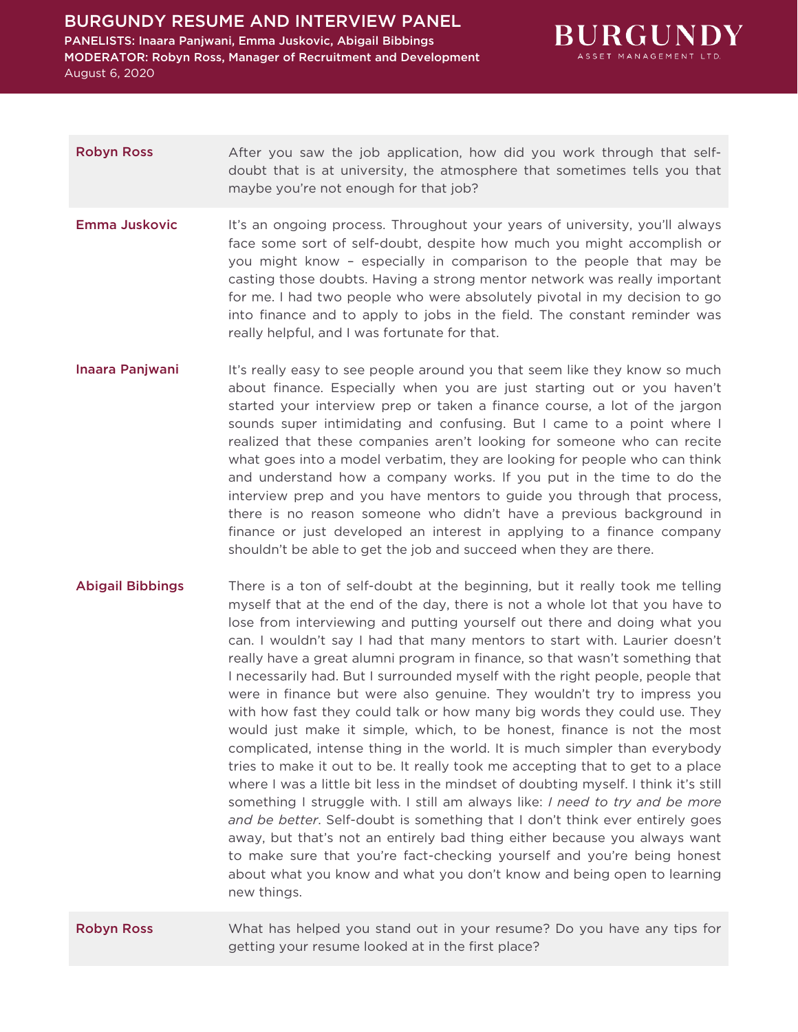

## Robyn Ross After you saw the job application, how did you work through that selfdoubt that is at university, the atmosphere that sometimes tells you that maybe you're not enough for that job?

- **Emma Juskovic** It's an ongoing process. Throughout your years of university, you'll always face some sort of self-doubt, despite how much you might accomplish or you might know – especially in comparison to the people that may be casting those doubts. Having a strong mentor network was really important for me. I had two people who were absolutely pivotal in my decision to go into finance and to apply to jobs in the field. The constant reminder was really helpful, and I was fortunate for that.
- Inaara Panjwani It's really easy to see people around you that seem like they know so much about finance. Especially when you are just starting out or you haven't started your interview prep or taken a finance course, a lot of the jargon sounds super intimidating and confusing. But I came to a point where I realized that these companies aren't looking for someone who can recite what goes into a model verbatim, they are looking for people who can think and understand how a company works. If you put in the time to do the interview prep and you have mentors to guide you through that process, there is no reason someone who didn't have a previous background in finance or just developed an interest in applying to a finance company shouldn't be able to get the job and succeed when they are there.
- Abigail Bibbings There is a ton of self-doubt at the beginning, but it really took me telling myself that at the end of the day, there is not a whole lot that you have to lose from interviewing and putting yourself out there and doing what you can. I wouldn't say I had that many mentors to start with. Laurier doesn't really have a great alumni program in finance, so that wasn't something that I necessarily had. But I surrounded myself with the right people, people that were in finance but were also genuine. They wouldn't try to impress you with how fast they could talk or how many big words they could use. They would just make it simple, which, to be honest, finance is not the most complicated, intense thing in the world. It is much simpler than everybody tries to make it out to be. It really took me accepting that to get to a place where I was a little bit less in the mindset of doubting myself. I think it's still something I struggle with. I still am always like: *I need to try and be more and be better*. Self-doubt is something that I don't think ever entirely goes away, but that's not an entirely bad thing either because you always want to make sure that you're fact-checking yourself and you're being honest about what you know and what you don't know and being open to learning new things.

Robyn Ross What has helped you stand out in your resume? Do you have any tips for getting your resume looked at in the first place?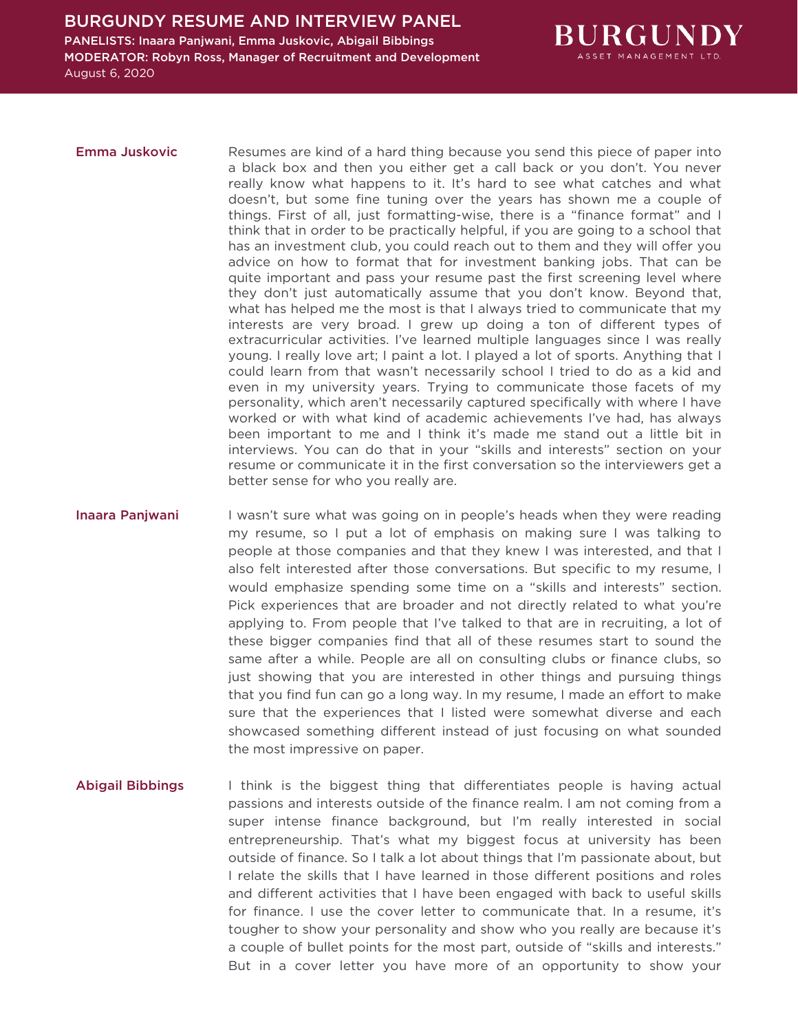

**Emma Juskovic** Resumes are kind of a hard thing because you send this piece of paper into a black box and then you either get a call back or you don't. You never really know what happens to it. It's hard to see what catches and what doesn't, but some fine tuning over the years has shown me a couple of things. First of all, just formatting-wise, there is a "finance format" and I think that in order to be practically helpful, if you are going to a school that has an investment club, you could reach out to them and they will offer you advice on how to format that for investment banking jobs. That can be quite important and pass your resume past the first screening level where they don't just automatically assume that you don't know. Beyond that, what has helped me the most is that I always tried to communicate that my interests are very broad. I grew up doing a ton of different types of extracurricular activities. I've learned multiple languages since I was really young. I really love art; I paint a lot. I played a lot of sports. Anything that I could learn from that wasn't necessarily school I tried to do as a kid and even in my university years. Trying to communicate those facets of my personality, which aren't necessarily captured specifically with where I have worked or with what kind of academic achievements I've had, has always been important to me and I think it's made me stand out a little bit in interviews. You can do that in your "skills and interests" section on your resume or communicate it in the first conversation so the interviewers get a better sense for who you really are.

Inaara Panjwani I wasn't sure what was going on in people's heads when they were reading my resume, so I put a lot of emphasis on making sure I was talking to people at those companies and that they knew I was interested, and that I also felt interested after those conversations. But specific to my resume, I would emphasize spending some time on a "skills and interests" section. Pick experiences that are broader and not directly related to what you're applying to. From people that I've talked to that are in recruiting, a lot of these bigger companies find that all of these resumes start to sound the same after a while. People are all on consulting clubs or finance clubs, so just showing that you are interested in other things and pursuing things that you find fun can go a long way. In my resume, I made an effort to make sure that the experiences that I listed were somewhat diverse and each showcased something different instead of just focusing on what sounded the most impressive on paper.

# Abigail Bibbings I think is the biggest thing that differentiates people is having actual passions and interests outside of the finance realm. I am not coming from a super intense finance background, but I'm really interested in social entrepreneurship. That's what my biggest focus at university has been outside of finance. So I talk a lot about things that I'm passionate about, but I relate the skills that I have learned in those different positions and roles and different activities that I have been engaged with back to useful skills for finance. I use the cover letter to communicate that. In a resume, it's tougher to show your personality and show who you really are because it's a couple of bullet points for the most part, outside of "skills and interests." But in a cover letter you have more of an opportunity to show your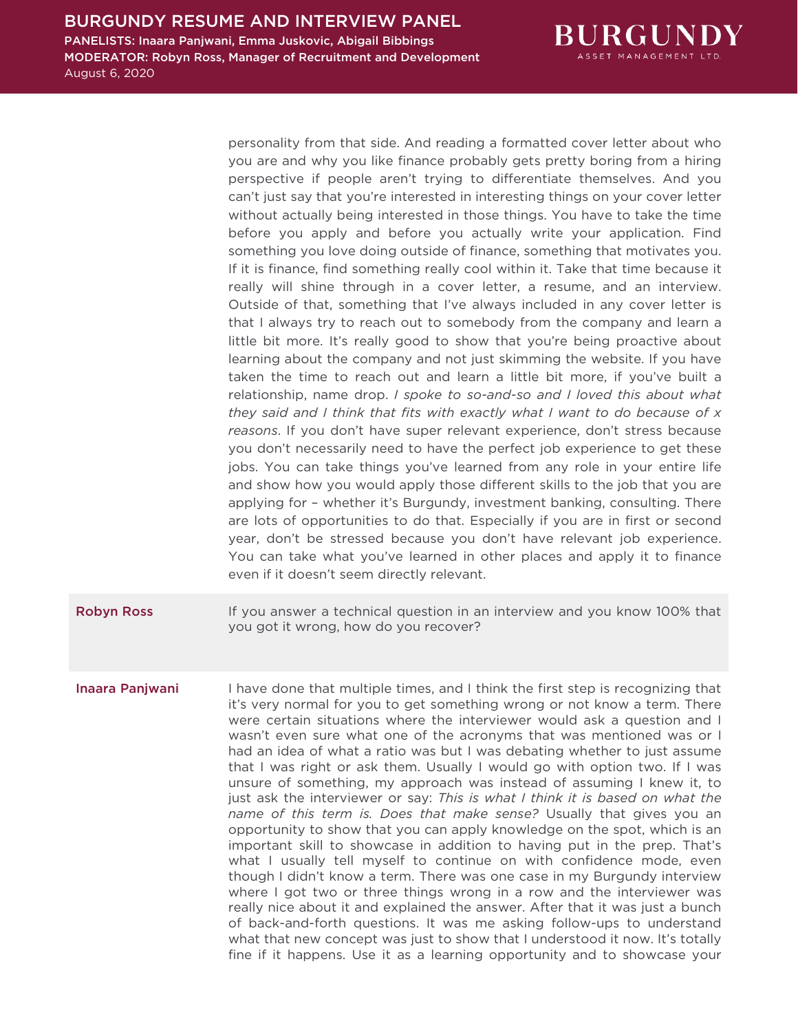

personality from that side. And reading a formatted cover letter about who you are and why you like finance probably gets pretty boring from a hiring perspective if people aren't trying to differentiate themselves. And you can't just say that you're interested in interesting things on your cover letter without actually being interested in those things. You have to take the time before you apply and before you actually write your application. Find something you love doing outside of finance, something that motivates you. If it is finance, find something really cool within it. Take that time because it really will shine through in a cover letter, a resume, and an interview. Outside of that, something that I've always included in any cover letter is that I always try to reach out to somebody from the company and learn a little bit more. It's really good to show that you're being proactive about learning about the company and not just skimming the website. If you have taken the time to reach out and learn a little bit more, if you've built a relationship, name drop. *I spoke to so-and-so and I loved this about what they said and I think that fits with exactly what I want to do because of x reasons*. If you don't have super relevant experience, don't stress because you don't necessarily need to have the perfect job experience to get these jobs. You can take things you've learned from any role in your entire life and show how you would apply those different skills to the job that you are applying for – whether it's Burgundy, investment banking, consulting. There are lots of opportunities to do that. Especially if you are in first or second year, don't be stressed because you don't have relevant job experience. You can take what you've learned in other places and apply it to finance even if it doesn't seem directly relevant.

**Robyn Ross** If you answer a technical question in an interview and you know 100% that you got it wrong, how do you recover?

Inaara Panjwani I have done that multiple times, and I think the first step is recognizing that it's very normal for you to get something wrong or not know a term. There were certain situations where the interviewer would ask a question and I wasn't even sure what one of the acronyms that was mentioned was or I had an idea of what a ratio was but I was debating whether to just assume that I was right or ask them. Usually I would go with option two. If I was unsure of something, my approach was instead of assuming I knew it, to just ask the interviewer or say: *This is what I think it is based on what the name of this term is. Does that make sense?* Usually that gives you an opportunity to show that you can apply knowledge on the spot, which is an important skill to showcase in addition to having put in the prep. That's what I usually tell myself to continue on with confidence mode, even though I didn't know a term. There was one case in my Burgundy interview where I got two or three things wrong in a row and the interviewer was really nice about it and explained the answer. After that it was just a bunch of back-and-forth questions. It was me asking follow-ups to understand what that new concept was just to show that I understood it now. It's totally fine if it happens. Use it as a learning opportunity and to showcase your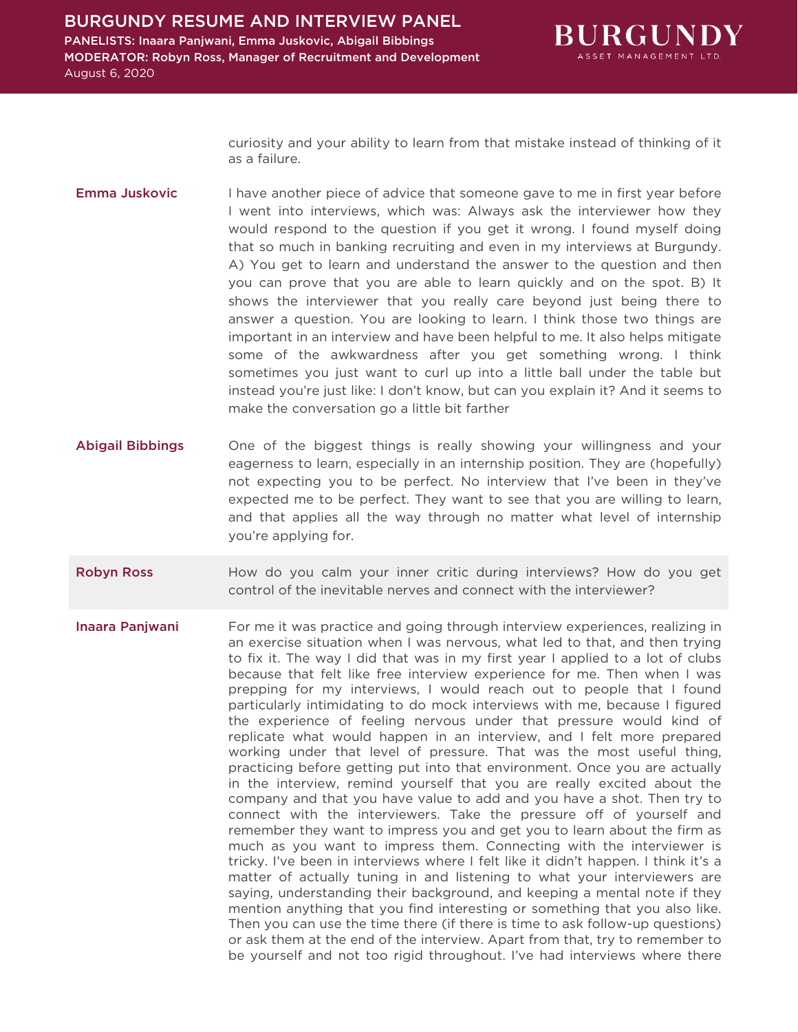

curiosity and your ability to learn from that mistake instead of thinking of it as a failure.

- **Emma Juskovic** I have another piece of advice that someone gave to me in first year before I went into interviews, which was: Always ask the interviewer how they would respond to the question if you get it wrong. I found myself doing that so much in banking recruiting and even in my interviews at Burgundy. A) You get to learn and understand the answer to the question and then you can prove that you are able to learn quickly and on the spot. B) It shows the interviewer that you really care beyond just being there to answer a question. You are looking to learn. I think those two things are important in an interview and have been helpful to me. It also helps mitigate some of the awkwardness after you get something wrong. I think sometimes you just want to curl up into a little ball under the table but instead you're just like: I don't know, but can you explain it? And it seems to make the conversation go a little bit farther
- Abigail Bibbings One of the biggest things is really showing your willingness and your eagerness to learn, especially in an internship position. They are (hopefully) not expecting you to be perfect. No interview that I've been in they've expected me to be perfect. They want to see that you are willing to learn, and that applies all the way through no matter what level of internship you're applying for.
- Robyn Ross **How do you calm your inner critic during interviews**? How do you get control of the inevitable nerves and connect with the interviewer?
- **Inaara Panjwani** For me it was practice and going through interview experiences, realizing in an exercise situation when I was nervous, what led to that, and then trying to fix it. The way I did that was in my first year I applied to a lot of clubs because that felt like free interview experience for me. Then when I was prepping for my interviews, I would reach out to people that I found particularly intimidating to do mock interviews with me, because I figured the experience of feeling nervous under that pressure would kind of replicate what would happen in an interview, and I felt more prepared working under that level of pressure. That was the most useful thing, practicing before getting put into that environment. Once you are actually in the interview, remind yourself that you are really excited about the company and that you have value to add and you have a shot. Then try to connect with the interviewers. Take the pressure off of yourself and remember they want to impress you and get you to learn about the firm as much as you want to impress them. Connecting with the interviewer is tricky. I've been in interviews where I felt like it didn't happen. I think it's a matter of actually tuning in and listening to what your interviewers are saying, understanding their background, and keeping a mental note if they mention anything that you find interesting or something that you also like. Then you can use the time there (if there is time to ask follow-up questions) or ask them at the end of the interview. Apart from that, try to remember to be yourself and not too rigid throughout. I've had interviews where there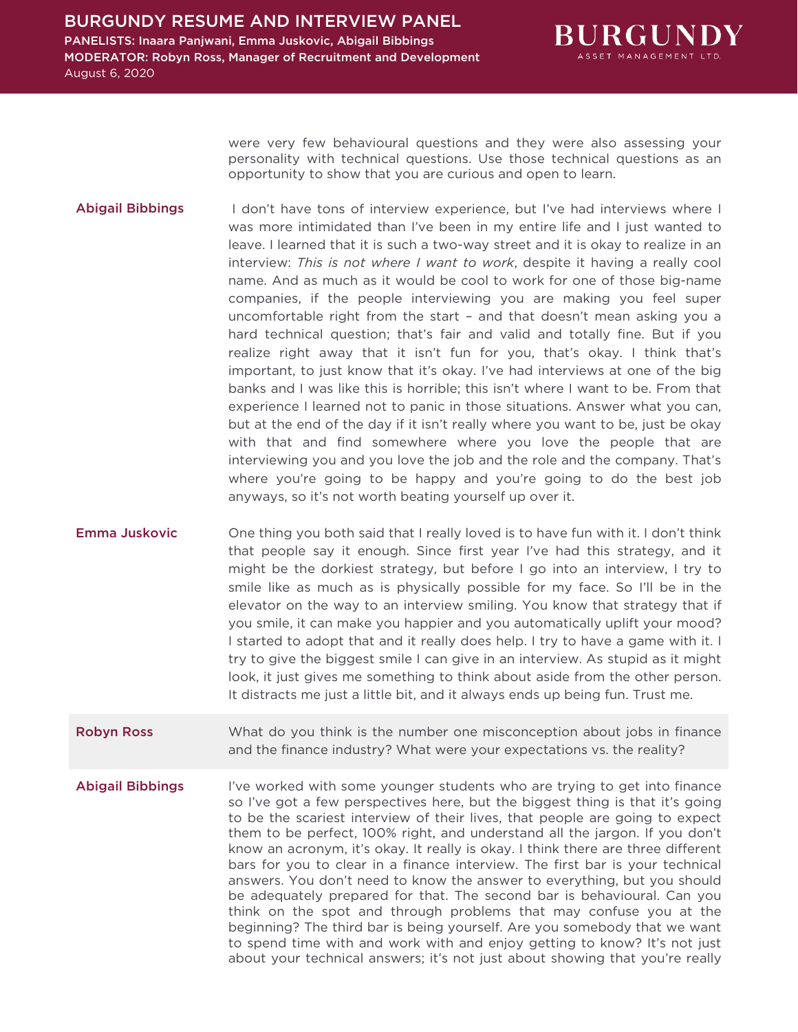

were very few behavioural questions and they were also assessing your personality with technical questions. Use those technical questions as an opportunity to show that you are curious and open to learn.

Abigail Bibbings I don't have tons of interview experience, but I've had interviews where I was more intimidated than I've been in my entire life and I just wanted to leave. I learned that it is such a two-way street and it is okay to realize in an interview: *This is not where I want to work*, despite it having a really cool name. And as much as it would be cool to work for one of those big-name companies, if the people interviewing you are making you feel super uncomfortable right from the start – and that doesn't mean asking you a hard technical question; that's fair and valid and totally fine. But if you realize right away that it isn't fun for you, that's okay. I think that's important, to just know that it's okay. I've had interviews at one of the big banks and I was like this is horrible; this isn't where I want to be. From that experience I learned not to panic in those situations. Answer what you can, but at the end of the day if it isn't really where you want to be, just be okay with that and find somewhere where you love the people that are interviewing you and you love the job and the role and the company. That's where you're going to be happy and you're going to do the best job anyways, so it's not worth beating yourself up over it.

**Emma Juskovic** One thing you both said that I really loved is to have fun with it. I don't think that people say it enough. Since first year I've had this strategy, and it might be the dorkiest strategy, but before I go into an interview, I try to smile like as much as is physically possible for my face. So I'll be in the elevator on the way to an interview smiling. You know that strategy that if you smile, it can make you happier and you automatically uplift your mood? I started to adopt that and it really does help. I try to have a game with it. I try to give the biggest smile I can give in an interview. As stupid as it might look, it just gives me something to think about aside from the other person. It distracts me just a little bit, and it always ends up being fun. Trust me.

- **Robyn Ross** What do you think is the number one misconception about jobs in finance and the finance industry? What were your expectations vs. the reality?
- Abigail Bibbings I've worked with some younger students who are trying to get into finance so I've got a few perspectives here, but the biggest thing is that it's going to be the scariest interview of their lives, that people are going to expect them to be perfect, 100% right, and understand all the jargon. If you don't know an acronym, it's okay. It really is okay. I think there are three different bars for you to clear in a finance interview. The first bar is your technical answers. You don't need to know the answer to everything, but you should be adequately prepared for that. The second bar is behavioural. Can you think on the spot and through problems that may confuse you at the beginning? The third bar is being yourself. Are you somebody that we want to spend time with and work with and enjoy getting to know? It's not just about your technical answers; it's not just about showing that you're really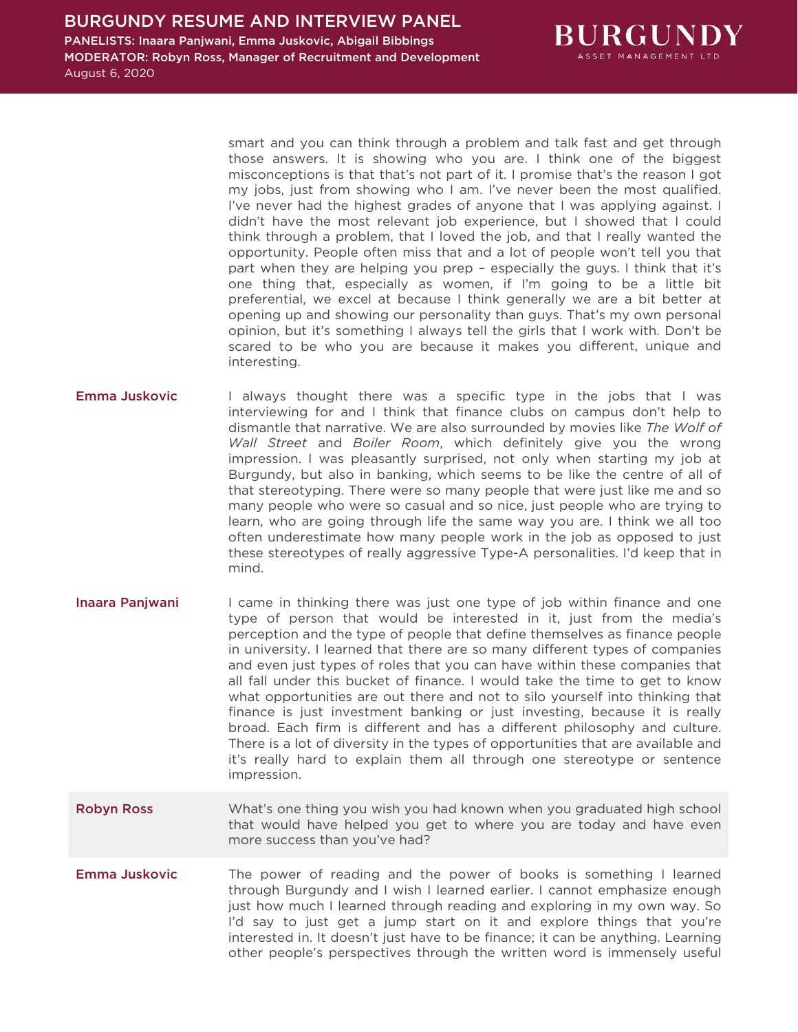

smart and you can think through a problem and talk fast and get through those answers. It is showing who you are. I think one of the biggest misconceptions is that that's not part of it. I promise that's the reason I got my jobs, just from showing who I am. I've never been the most qualified. I've never had the highest grades of anyone that I was applying against. I didn't have the most relevant job experience, but I showed that I could think through a problem, that I loved the job, and that I really wanted the opportunity. People often miss that and a lot of people won't tell you that part when they are helping you prep – especially the guys. I think that it's one thing that, especially as women, if I'm going to be a little bit preferential, we excel at because I think generally we are a bit better at opening up and showing our personality than guys. That's my own personal opinion, but it's something I always tell the girls that I work with. Don't be scared to be who you are because it makes you different, unique and interesting.

- **Emma Juskovic** I always thought there was a specific type in the jobs that I was interviewing for and I think that finance clubs on campus don't help to dismantle that narrative. We are also surrounded by movies like *The Wolf of Wall Street* and *Boiler Room*, which definitely give you the wrong impression. I was pleasantly surprised, not only when starting my job at Burgundy, but also in banking, which seems to be like the centre of all of that stereotyping. There were so many people that were just like me and so many people who were so casual and so nice, just people who are trying to learn, who are going through life the same way you are. I think we all too often underestimate how many people work in the job as opposed to just these stereotypes of really aggressive Type-A personalities. I'd keep that in mind.
- Inaara Panjwani I came in thinking there was just one type of job within finance and one type of person that would be interested in it, just from the media's perception and the type of people that define themselves as finance people in university. I learned that there are so many different types of companies and even just types of roles that you can have within these companies that all fall under this bucket of finance. I would take the time to get to know what opportunities are out there and not to silo yourself into thinking that finance is just investment banking or just investing, because it is really broad. Each firm is different and has a different philosophy and culture. There is a lot of diversity in the types of opportunities that are available and it's really hard to explain them all through one stereotype or sentence impression.
- Robyn Ross What's one thing you wish you had known when you graduated high school that would have helped you get to where you are today and have even more success than you've had?
- **Emma Juskovic** The power of reading and the power of books is something I learned through Burgundy and I wish I learned earlier. I cannot emphasize enough just how much I learned through reading and exploring in my own way. So I'd say to just get a jump start on it and explore things that you're interested in. It doesn't just have to be finance; it can be anything. Learning other people's perspectives through the written word is immensely useful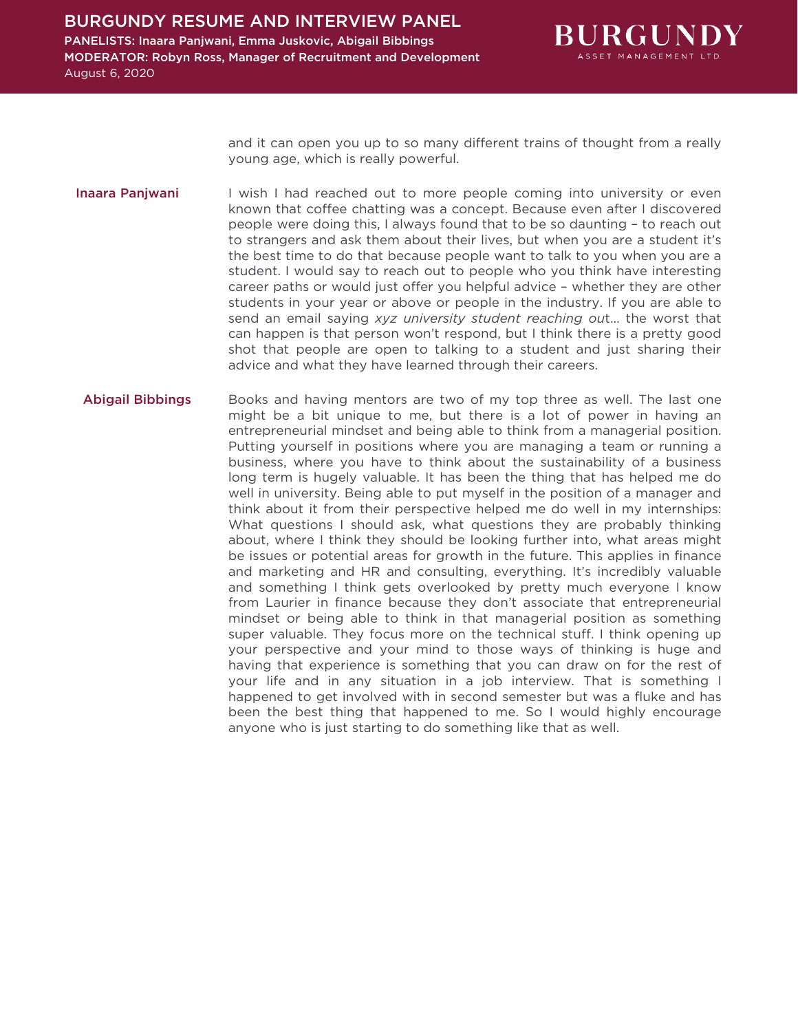

and it can open you up to so many different trains of thought from a really young age, which is really powerful.

- Inaara Panjwani I wish I had reached out to more people coming into university or even known that coffee chatting was a concept. Because even after I discovered people were doing this, I always found that to be so daunting – to reach out to strangers and ask them about their lives, but when you are a student it's the best time to do that because people want to talk to you when you are a student. I would say to reach out to people who you think have interesting career paths or would just offer you helpful advice – whether they are other students in your year or above or people in the industry. If you are able to send an email saying *xyz university student reaching ou*t… the worst that can happen is that person won't respond, but I think there is a pretty good shot that people are open to talking to a student and just sharing their advice and what they have learned through their careers.
- Abigail Bibbings Books and having mentors are two of my top three as well. The last one might be a bit unique to me, but there is a lot of power in having an entrepreneurial mindset and being able to think from a managerial position. Putting yourself in positions where you are managing a team or running a business, where you have to think about the sustainability of a business long term is hugely valuable. It has been the thing that has helped me do well in university. Being able to put myself in the position of a manager and think about it from their perspective helped me do well in my internships: What questions I should ask, what questions they are probably thinking about, where I think they should be looking further into, what areas might be issues or potential areas for growth in the future. This applies in finance and marketing and HR and consulting, everything. It's incredibly valuable and something I think gets overlooked by pretty much everyone I know from Laurier in finance because they don't associate that entrepreneurial mindset or being able to think in that managerial position as something super valuable. They focus more on the technical stuff. I think opening up your perspective and your mind to those ways of thinking is huge and having that experience is something that you can draw on for the rest of your life and in any situation in a job interview. That is something I happened to get involved with in second semester but was a fluke and has been the best thing that happened to me. So I would highly encourage anyone who is just starting to do something like that as well.